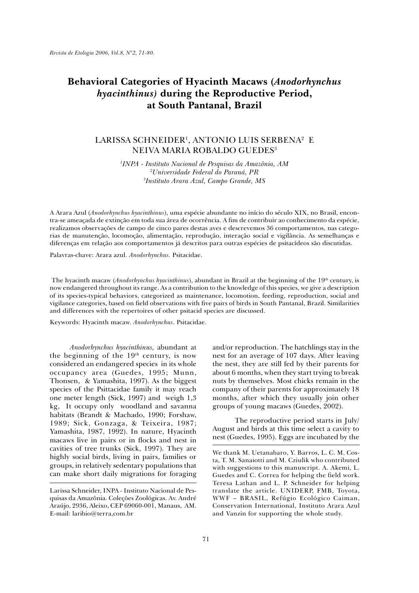# **Behavioral Categories of Hyacinth Macaws (***Anodorhynchus hyacinthinus)* **during the Reproductive Period, at South Pantanal, Brazil**

# LARISSA SCHNEIDER<sup>1</sup>, ANTONIO LUIS SERBENA<sup>2</sup> E NEIVA MARIA ROBALDO GUEDES3

*1 INPA - Instituto Nacional de Pesquisas da Amazônia, AM 2 Universidade Federal do Paraná, PR 3 Instituto Arara Azul, Campo Grande, MS*

A Arara Azul (*Anodorhynchus hyacinthinus*), uma espécie abundante no início do século XIX, no Brasil, encontra-se ameaçada de extinção em toda sua área de ocorrência. A fim de contribuir ao conhecimento da espécie, realizamos observações de campo de cinco pares destas aves e descrevemos 36 comportamentos, nas categorias de manutenção, locomoção, alimentação, reprodução, interação social e vigilância. As semelhanças e diferenças em relação aos comportamentos já descritos para outras espécies de psitacídeos são discutidas.

Palavras-chave: Arara azul. *Anodorhynchus.* Psitacidae.

The hyacinth macaw (*Anodorhynchus hyacinthinus*), abundant in Brazil at the beginning of the 19<sup>th</sup> century, is now endangered throughout its range. As a contribution to the knowledge of this species, we give a description of its species-typical behaviors, categorized as maintenance, locomotion, feeding, reproduction, social and vigilance categories, based on field observations with five pairs of birds in South Pantanal, Brazil. Similarities and differences with the repertoires of other psitacid species are discussed.

Keywords: Hyacinth macaw. *Anodorhynchus*. Psitacidae.

*Anodorhynchus hyacinthinus,* abundant at the beginning of the  $19<sup>th</sup>$  century, is now considered an endangered species in its whole occupancy area (Guedes, 1995; Munn, Thonsen, & Yamashita, 1997). As the biggest species of the Psittacidae family it may reach one meter length (Sick, 1997) and weigh 1,3 kg, It occupy only woodland and savanna habitats (Brandt & Machado, 1990; Forshaw, 1989; Sick, Gonzaga, & Teixeira, 1987; Yamashita, 1987, 1992). In nature, Hyacinth macaws live in pairs or in flocks and nest in cavities of tree trunks (Sick, 1997). They are highly social birds, living in pairs, families or groups, in relatively sedentary populations that can make short daily migrations for foraging

and/or reproduction. The hatchlings stay in the nest for an average of 107 days. After leaving the nest, they are still fed by their parents for about 6 months, when they start trying to break nuts by themselves. Most chicks remain in the company of their parents for approximately 18 months, after which they usually join other groups of young macaws (Guedes, 2002).

 The reproductive period starts in July/ August and birds at this time select a cavity to nest (Guedes, 1995). Eggs are incubated by the

Larissa Schneider, INPA - Instituto Nacional de Pesquisas da Amazônia. Coleções Zoológicas. Av. André Araújo, 2936, Aleixo, CEP 69060-001, Manaus, AM. E-mail: laribio@terra,com.br

We thank M. Uetanabaro, Y. Barros, L. C. M. Costa, T. M. Sanaiotti and M. Cziulik who contributed with suggestions to this manuscript. A. Akemi, L. Guedes and C. Correa for helping the field work. Teresa Lathan and L. P. Schneider for helping translate the article. UNIDERP, FMB, Toyota, WWF – BRASIL, Refúgio Ecológico Caiman, Conservation International, Instituto Arara Azul and Vanzin for supporting the whole study.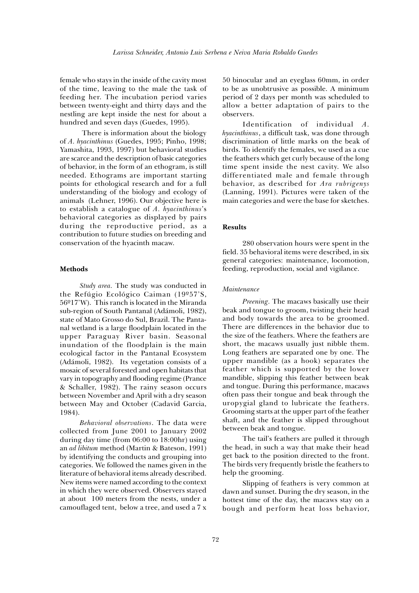female who stays in the inside of the cavity most of the time, leaving to the male the task of feeding her. The incubation period varies between twenty-eight and thirty days and the nestling are kept inside the nest for about a hundred and seven days (Guedes, 1995).

 There is information about the biology of *A. hyacinthinus* (Guedes, 1995; Pinho, 1998; Yamashita, 1993, 1997) but behavioral studies are scarce and the description of basic categories of behavior, in the form of an ethogram, is still needed. Ethograms are important starting points for ethological research and for a full understanding of the biology and ecology of animals (Lehner, 1996). Our objective here is to establish a catalogue of *A. hyacinthinus*'s behavioral categories as displayed by pairs during the reproductive period, as a contribution to future studies on breeding and conservation of the hyacinth macaw.

## **Methods**

*Study area.* The study was conducted in the Refúgio Ecológico Caiman (19º57'S, 56º17'W). This ranch is located in the Miranda sub-region of South Pantanal (Adámoli, 1982), state of Mato Grosso do Sul, Brazil. The Pantanal wetland is a large floodplain located in the upper Paraguay River basin. Seasonal inundation of the floodplain is the main ecological factor in the Pantanal Ecosystem (Adámoli, 1982). Its vegetation consists of a mosaic of several forested and open habitats that vary in topography and flooding regime (Prance & Schaller, 1982). The rainy season occurs between November and April with a dry season between May and October (Cadavid Garcia, 1984).

*Behavioral observations*. The data were collected from June 2001 to January 2002 during day time (from 06:00 to 18:00hr) using an *ad libitum* method (Martin & Bateson, 1991) by identifying the conducts and grouping into categories. We followed the names given in the literature of behavioral items already described. New items were named according to the context in which they were observed. Observers stayed at about 100 meters from the nests, under a camouflaged tent, below a tree, and used a 7 x

to be as unobtrusive as possible. A minimum<br>period of 2 days per month was scheduled to 50 binocular and an eyeglass 60mm, in order to be as unobtrusive as possible. A minimum allow a better adaptation of pairs to the observers.

behavior, as described for *Ara rubrigenys*<br>(Lanning, 1991). Pictures were taken of the Identification of individual *A. hyacinthinus*, a difficult task, was done through discrimination of little marks on the beak of birds. To identify the females, we used as a cue the feathers which get curly because of the long time spent inside the nest cavity. We also differentiated male and female through behavior, as described for *Ara rubrigenys* main categories and were the base for sketches.

# **Results**

**B** field. 35 behavioral items were described, in six 280 observation hours were spent in the general categories: maintenance, locomotion, feeding, reproduction, social and vigilance.

#### *Maintenance*

se the<br>:ir hea<br>pome and body towards the area to be groomed. *Preening.* The macaws basically use their beak and tongue to groom, twisting their head There are differences in the behavior due to the size of the feathers. Where the feathers are short, the macaws usually just nibble them. Long feathers are separated one by one. The upper mandible (as a hook) separates the feather which is supported by the lower mandible, slipping this feather between beak and tongue. During this performance, macaws often pass their tongue and beak through the uropygial gland to lubricate the feathers. Grooming starts at the upper part of the feather shaft, and the feather is slipped throughout between beak and tongue.

The tail's feathers are pulled it through the head, in such a way that make their head get back to the position directed to the front. The birds very frequently bristle the feathers to help the grooming.

Slipping of feathers is very common at dawn and sunset. During the dry season, in the hottest time of the day, the macaws stay on a bough and perform heat loss behavior,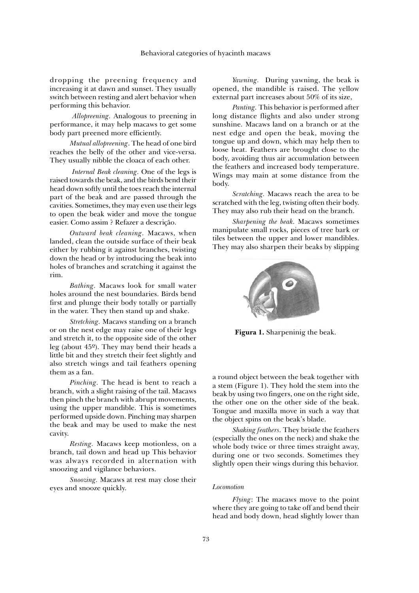dropping the preening frequency and increasing it at dawn and sunset. They usually switch between resting and alert behavior when performing this behavior.

*Allopreening.* Analogous to preening in performance, it may help macaws to get some body part preened more efficiently.

*Mutual allopreening*. The head of one bird reaches the belly of the other and vice-versa. They usually nibble the cloaca of each other.

*Internal Beak cleaning.* One of the legs is raised towards the beak, and the birds bend their head down softly until the toes reach the internal part of the beak and are passed through the cavities. Sometimes, they may even use their legs to open the beak wider and move the tongue easier. Como assim ? Refazer a descrição.

*Outward beak cleaning.* Macaws, when landed, clean the outside surface of their beak either by rubbing it against branches, twisting down the head or by introducing the beak into holes of branches and scratching it against the rim.

*Bathing.* Macaws look for small water holes around the nest boundaries. Birds bend first and plunge their body totally or partially in the water. They then stand up and shake.

*Stretching.* Macaws standing on a branch or on the nest edge may raise one of their legs and stretch it, to the opposite side of the other leg (about 45º). They may bend their heads a little bit and they stretch their feet slightly and also stretch wings and tail feathers opening them as a fan.

*Pinching.* The head is bent to reach a branch, with a slight raising of the tail. Macaws then pinch the branch with abrupt movements, using the upper mandible. This is sometimes performed upside down. Pinching may sharpen the beak and may be used to make the nest cavity.

*Resting.* Macaws keep motionless, on a branch, tail down and head up This behavior was always recorded in alternation with snoozing and vigilance behaviors.

*Snoozing.* Macaws at rest may close their eyes and snooze quickly.

*Yawning.* During yawning, the beak is opened, the mandible is raised. The yellow external part increases about 50% of its size,

*Panting.* This behavior is performed after long distance flights and also under strong sunshine. Macaws land on a branch or at the nest edge and open the beak, moving the tongue up and down, which may help then to loose heat. Feathers are brought close to the body, avoiding thus air accumulation between the feathers and increased body temperature. Wings may main at some distance from the body.

*Scratching.* Macaws reach the area to be scratched with the leg, twisting often their body. They may also rub their head on the branch.

*Sharpening the beak.* Macaws sometimes manipulate small rocks, pieces of tree bark or tiles between the upper and lower mandibles. They may also sharpen their beaks by slipping



**Figura 1.** Sharpeninig the beak.

a round object between the beak together with a stem (Figure 1). They hold the stem into the beak by using two fingers, one on the right side, the other one on the other side of the beak. Tongue and maxilla move in such a way that the object spins on the beak's blade.

*Shaking feathers.* They bristle the feathers (especially the ones on the neck) and shake the whole body twice or three times straight away, during one or two seconds. Sometimes they slightly open their wings during this behavior.

#### *Locomotion*

*Flying*: The macaws move to the point where they are going to take off and bend their head and body down, head slightly lower than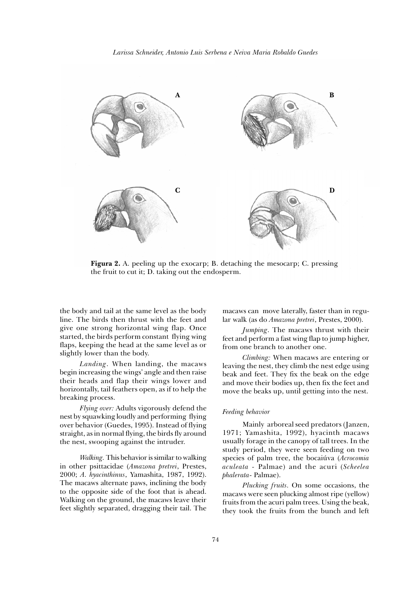

**Figura 2.** A. peeling up the exocarp; B. detaching the mesocarp; C. pressing the fruit to cut it; D. taking out the endosperm.

the body and tail at the same level as the body line. The birds then thrust with the feet and give one strong horizontal wing flap. Once started, the birds perform constant flying wing flaps, keeping the head at the same level as or slightly lower than the body.

*Landing*. When landing, the macaws begin increasing the wings' angle and then raise their heads and flap their wings lower and horizontally, tail feathers open, as if to help the breaking process.

*Flying over:* Adults vigorously defend the nest by squawking loudly and performing flying over behavior (Guedes, 1995). Instead of flying straight, as in normal flying, the birds fly around the nest, swooping against the intruder.

*Walking.* This behavior is similar to walking in other psittacidae (*Amazona pretrei*, Prestes, 2000; *A. hyacinthinus*, Yamashita, 1987, 1992). The macaws alternate paws, inclining the body to the opposite side of the foot that is ahead. Walking on the ground, the macaws leave their feet slightly separated, dragging their tail. The macaws can move laterally, faster than in regular walk (as do *Amazona pretrei*, Prestes, 2000).

*Jumping*. The macaws thrust with their feet and perform a fast wing flap to jump higher, from one branch to another one.

*Climbing:* When macaws are entering or leaving the nest, they climb the nest edge using beak and feet. They fix the beak on the edge and move their bodies up, then fix the feet and move the beaks up, until getting into the nest.

# *Feeding behavior*

Mainly arboreal seed predators (Janzen, 1971; Yamashita, 1992), hyacinth macaws usually forage in the canopy of tall trees. In the study period, they were seen feeding on two species of palm tree, the bocaiúva (*Acrocomia aculeata -* Palmae) and the acuri (*Scheelea phalerata*- Palmae).

*Plucking fruits.* On some occasions, the macaws were seen plucking almost ripe (yellow) fruits from the acuri palm trees. Using the beak, they took the fruits from the bunch and left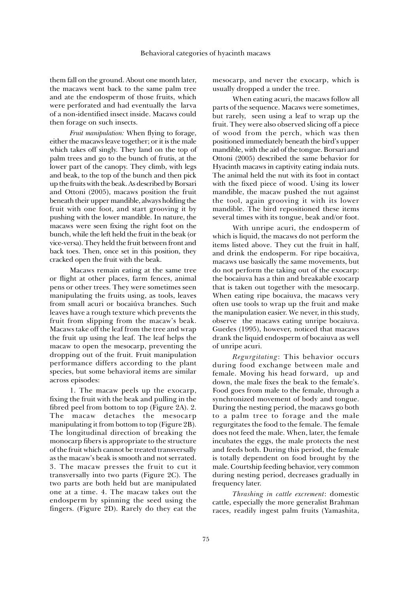them fall on the ground. About one month later, the macaws went back to the same palm tree and ate the endosperm of those fruits, which were perforated and had eventually the larva of a non-identified insect inside. Macaws could then forage on such insects.

*Fruit manipulation:* When flying to forage, either the macaws leave together; or it is the male which takes off singly. They land on the top of palm trees and go to the bunch of frutis, at the lower part of the canopy. They climb, with legs and beak, to the top of the bunch and then pick up the fruits with the beak. As described by Borsari and Ottoni (2005), macaws position the fruit beneath their upper mandible, always holding the fruit with one foot, and start grooving it by pushing with the lower mandible. In nature, the macaws were seen fixing the right foot on the bunch, while the left held the fruit in the beak (or vice-versa). They held the fruit between front and back toes. Then, once set in this position, they cracked open the fruit with the beak.

Macaws remain eating at the same tree or flight at other places, farm fences, animal pens or other trees. They were sometimes seen manipulating the fruits using, as tools, leaves from small acuri or bocaiúva branches. Such leaves have a rough texture which prevents the fruit from slipping from the macaw's beak. Macaws take off the leaf from the tree and wrap the fruit up using the leaf. The leaf helps the macaw to open the mesocarp, preventing the dropping out of the fruit. Fruit manipulation performance differs according to the plant species, but some behavioral items are similar across episodes:

1. The macaw peels up the exocarp, fixing the fruit with the beak and pulling in the fibred peel from bottom to top (Figure 2A). 2. The macaw detaches the mesocarp manipulating it from bottom to top (Figure 2B). The longitudinal direction of breaking the monocarp fibers is appropriate to the structure of the fruit which cannot be treated transversally as the macaw's beak is smooth and not serrated. 3. The macaw presses the fruit to cut it transversally into two parts (Figure 2C). The two parts are both held but are manipulated one at a time. 4. The macaw takes out the endosperm by spinning the seed using the fingers. (Figure 2D). Rarely do they eat the

mesocarp, and never the exocarp, which is usually dropped a under the tree.

When eating acuri, the macaws follow all parts of the sequence. Macaws were sometimes, but rarely, seen using a leaf to wrap up the fruit. They were also observed slicing off a piece of wood from the perch, which was then positioned immediately beneath the bird's upper mandible, with the aid of the tongue. Borsari and Ottoni (2005) described the same behavior for Hyacinth macaws in captivity eating indaia nuts. The animal held the nut with its foot in contact with the fixed piece of wood. Using its lower mandible, the macaw pushed the nut against the tool, again grooving it with its lower mandible. The bird repositioned these items several times with its tongue, beak and/or foot.

With unripe acuri, the endosperm of which is liquid, the macaws do not perform the items listed above. They cut the fruit in half, and drink the endosperm. For ripe bocaiúva, macaws use basically the same movements, but do not perform the taking out of the exocarp: the bocaiuva has a thin and breakable exocarp that is taken out together with the mesocarp. When eating ripe bocaiuva, the macaws very often use tools to wrap up the fruit and make the manipulation easier. We never, in this study, observe the macaws eating unripe bocaiuva. Guedes (1995), however, noticed that macaws drank the liquid endosperm of bocaiuva as well of unripe acuri.

*Regurgitating*: This behavior occurs during food exchange between male and female. Moving his head forward, up and down, the male fixes the beak to the female's. Food goes from male to the female, through a synchronized movement of body and tongue. During the nesting period, the macaws go both to a palm tree to forage and the male regurgitates the food to the female. The female does not feed the male. When, later, the female incubates the eggs, the male protects the nest and feeds both. During this period, the female is totally dependent on food brought by the male. Courtship feeding behavior, very common during nesting period, decreases gradually in frequency later.

*Thrashing in cattle excrement*: domestic cattle, especially the more generalist Brahman races, readily ingest palm fruits (Yamashita,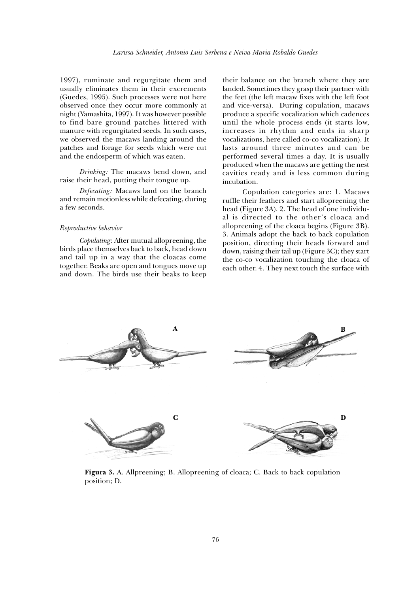1997), ruminate and regurgitate them and usually eliminates them in their excrements (Guedes, 1995). Such processes were not here observed once they occur more commonly at night (Yamashita, 1997). It was however possible to find bare ground patches littered with manure with regurgitated seeds. In such cases, we observed the macaws landing around the patches and forage for seeds which were cut and the endosperm of which was eaten.

*Drinking:* The macaws bend down, and raise their head, putting their tongue up.

*Defecating:* Macaws land on the branch and remain motionless while defecating, during a few seconds.

#### *Reproductive behavior*

*Copulating*: After mutual allopreening, the birds place themselves back to back, head down and tail up in a way that the cloacas come together. Beaks are open and tongues move up and down. The birds use their beaks to keep

their balance on the branch where they are landed. Sometimes they grasp their partner with the feet (the left macaw fixes with the left foot and vice-versa). During copulation, macaws produce a specific vocalization which cadences until the whole process ends (it starts low, increases in rhythm and ends in sharp vocalizations, here called co-co vocalization). It lasts around three minutes and can be performed several times a day. It is usually produced when the macaws are getting the nest cavities ready and is less common during incubation.

Copulation categories are: 1. Macaws ruffle their feathers and start allopreening the head (Figure 3A). 2. The head of one individual is directed to the other's cloaca and allopreening of the cloaca begins (Figure 3B). 3. Animals adopt the back to back copulation position, directing their heads forward and down, raising their tail up (Figure 3C); they start the co-co vocalization touching the cloaca of each other. 4. They next touch the surface with



**Figura 3.** A. Allpreening; B. Allopreening of cloaca; C. Back to back copulation position; D.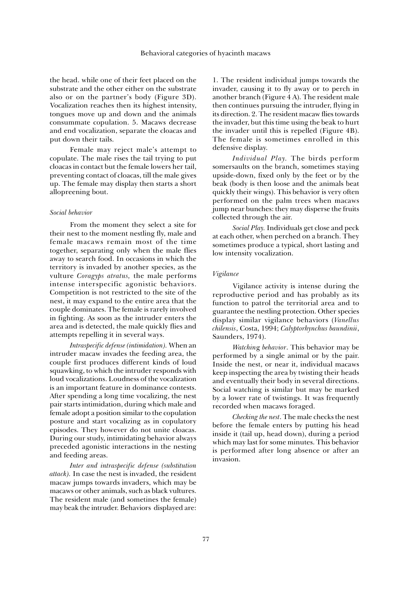the head. while one of their feet placed on the substrate and the other either on the substrate also or on the partner's body (Figure 3D). Vocalization reaches then its highest intensity, tongues move up and down and the animals consummate copulation. 5. Macaws decrease and end vocalization, separate the cloacas and put down their tails.

Female may reject male's attempt to copulate. The male rises the tail trying to put cloacas in contact but the female lowers her tail, preventing contact of cloacas, till the male gives up. The female may display then starts a short allopreening bout.

#### *Social behavior*

From the moment they select a site for their nest to the moment nestling fly, male and female macaws remain most of the time together, separating only when the male flies away to search food. In occasions in which the territory is invaded by another species, as the vulture *Coragyps atratus,* the male performs intense interspecific agonistic behaviors. Competition is not restricted to the site of the nest, it may expand to the entire area that the couple dominates. The female is rarely involved in fighting. As soon as the intruder enters the area and is detected, the male quickly flies and attempts repelling it in several ways.

*Intraspecific defense (intimidation).* When an intruder macaw invades the feeding area, the couple first produces different kinds of loud squawking, to which the intruder responds with loud vocalizations. Loudness of the vocalization is an important feature in dominance contests. After spending a long time vocalizing, the nest pair starts intimidation, during which male and female adopt a position similar to the copulation posture and start vocalizing as in copulatory episodes. They however do not unite cloacas. During our study, intimidating behavior always preceded agonistic interactions in the nesting and feeding areas.

*Inter and intraspecific defense (substitution attack).* In case the nest is invaded, the resident macaw jumps towards invaders, which may be macaws or other animals, such as black vultures. The resident male (and sometines the female) may beak the intruder. Behaviors displayed are:

1. The resident individual jumps towards the invader, causing it to fly away or to perch in another branch (Figure 4 A). The resident male then continues pursuing the intruder, flying in its direction. 2. The resident macaw flies towards the invader, but this time using the beak to hurt the invader until this is repelled (Figure 4B). The female is sometimes enrolled in this defensive display.

*Individual Play.* The birds perform somersaults on the branch, sometimes staying upside-down, fixed only by the feet or by the beak (body is then loose and the animals beat quickly their wings). This behavior is very often performed on the palm trees when macaws jump near bunches: they may disperse the fruits collected through the air.

*Social Play.* Individuals get close and peck at each other, when perched on a branch. They sometimes produce a typical, short lasting and low intensity vocalization.

# *Vigilance*

Vigilance activity is intense during the reproductive period and has probably as its function to patrol the territorial area and to guarantee the nestling protection. Other species display similar vigilance behaviors (*Vanellus chilensis*, Costa, 1994; *Calyptorhynchus baundinii*, Saunders, 1974).

*Watchin*g *behavior*. This behavior may be performed by a single animal or by the pair. Inside the nest, or near it, individual macaws keep inspecting the area by twisting their heads and eventually their body in several directions. Social watching is similar but may be marked by a lower rate of twistings. It was frequently recorded when macaws foraged.

*Checking the nest*. The male checks the nest before the female enters by putting his head inside it (tail up, head down), during a period which may last for some minutes. This behavior is performed after long absence or after an invasion.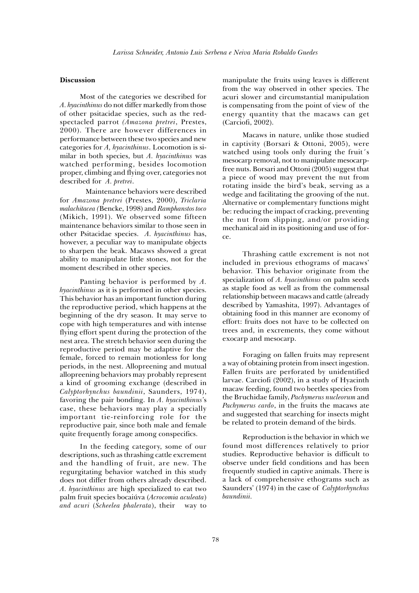## **Discussion**

Most of the categories we described for *A. hyacinthinus* do not differ markedly from those of other psitacidae species, such as the redspectacled parrot *(Amazona pretrei*, Prestes, 2000). There are however differences in performance between these two species and new categories for *A, hyacinthinus*. Locomotion is similar in both species, but *A. hyacinthinus* was watched performing, besides locomotion proper, climbing and flying over, categories not described for *A. pretrei*.

 Maintenance behaviors were described for *Amazona pretrei* (Prestes, 2000), *Triclaria malachitacea (*Bencke, 1998) and *Ramphanstos toco* (Mikich, 1991). We observed some fifteen maintenance behaviors similar to those seen in other Psitacidae species. *A. hyacinthinus* has, however, a peculiar way to manipulate objects to sharpen the beak. Macaws showed a great ability to manipulate little stones, not for the moment described in other species.

Panting behavior is performed by *A. hyacinthinus* as it is performed in other species. This behavior has an important function during the reproductive period, which happens at the beginning of the dry season. It may serve to cope with high temperatures and with intense flying effort spent during the protection of the nest area. The stretch behavior seen during the reproductive period may be adaptive for the female, forced to remain motionless for long periods, in the nest. Allopreening and mutual allopreening behaviors may probably represent a kind of grooming exchange (described in *Calyptorhynchus baundinii*, Saunders, 1974), favoring the pair bonding. In *A. hyacinthinus'*s case, these behaviors may play a specially important tie-reinforcing role for the reproductive pair, since both male and female quite frequently forage among conspecifics.

In the feeding category, some of our descriptions, such as thrashing cattle excrement and the handling of fruit, are new. The regurgitating behavior watched in this study does not differ from others already described. *A. hyacinthinus* are high specialized to eat two palm fruit species bocaiúva (*Acrocomia aculeata*) *and acuri* (*Scheelea phalerata*), their way to

manipulate the fruits using leaves is different from the way observed in other species. The acuri slower and circumstantial manipulation is compensating from the point of view of the energy quantity that the macaws can get (Carciofi, 2002).

Macaws in nature, unlike those studied in captivity (Borsari & Ottoni, 2005), were watched using tools only during the fruit´s mesocarp removal, not to manipulate mesocarpfree nuts. Borsari and Ottoni (2005) suggest that a piece of wood may prevent the nut from rotating inside the bird's beak, serving as a wedge and facilitating the grooving of the nut. Alternative or complementary functions might be: reducing the impact of cracking, preventing the nut from slipping, and/or providing mechanical aid in its positioning and use of force.

Thrashing cattle excrement is not not included in previous ethograms of macaws' behavior. This behavior originate from the specialization of *A. hyacinthinus* on palm seeds as staple food as well as from the commensal relationship between macaws and cattle (already described by Yamashita, 1997). Advantages of obtaining food in this manner are economy of effort: fruits does not have to be collected on trees and, in excrements, they come without exocarp and mesocarp.

Foraging on fallen fruits may represent a way of obtaining protein from insect ingestion. Fallen fruits are perforated by unidentified larvae. Carciofi (2002), in a study of Hyacinth macaw feeding, found two beetles species from the Bruchidae family, *Pachymerus nucleorum* and *Pachymerus cardo*, in the fruits the macaws ate and suggested that searching for insects might be related to protein demand of the birds.

Reproduction is the behavior in which we found most differences relatively to prior studies. Reproductive behavior is difficult to observe under field conditions and has been frequently studied in captive animals. There is a lack of comprehensive ethograms such as Saunders' (1974) in the case of *Calyptorhynchus baundinii.*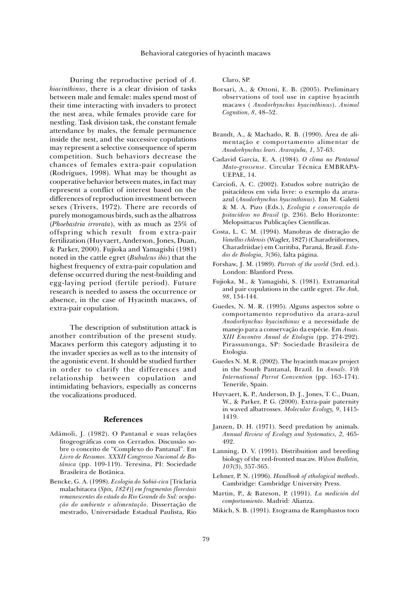During the reproductive period of *A. hiacinthinus*, there is a clear division of tasks between male and female: males spend most of their time interacting with invaders to protect the nest area, while females provide care for nestling. Task division task, the constant female attendance by males, the female permanence inside the nest, and the successive copulations may represent a selective consequence of sperm competition. Such behaviors decrease the chances of females extra-pair copulation (Rodrigues, 1998). What may be thought as cooperative behavior between mates, in fact may represent a conflict of interest based on the differences of reproduction investment between sexes (Trivers, 1972). There are records of purely monogamous birds, such as the albatross (*Phoebastria irrorata*), with as much as 25% of offspring which result from extra-pair fertilization (Huyvaert, Anderson, Jones, Duan, & Parker, 2000). Fujioka and Yamagishi (1981) noted in the cattle egret (*Bubulcus ibis*) that the highest frequency of extra-pair copulation and defense occurred during the nest-building and egg-laying period (fertile period). Future research is needed to assess the occurrence or absence, in the case of Hyacinth macaws, of extra-pair copulation.

The description of substitution attack is another contribution of the present study. Macaws perform this category adjusting it to the invader species as well as to the intensity of the agonistic event. It should be studied further in order to clarify the differences and relationship between copulation and intimidating behaviors, especially as concerns the vocalizations produced.

## **References**

- Adámoli, J. (1982). O Pantanal e suas relações fitogeográficas com os Cerrados. Discussão sobre o conceito de "Complexo do Pantanal". Em *Livro de Resumos. XXXII Congresso Nacional de Botânica* (pp. 109-119). Teresina, PI: Sociedade Brasileira de Botânica.
- Bencke, G. A. (1998). *Ecologia do Sabiá-cica* [Triclaria malachitacea (*Spix, 1824*)] *em fragmentos florestais remanescentes do estado do Rio Grande do Sul: ocupação do ambiente e alimentação*. Dissertação de mestrado, Universidade Estadual Paulista, Rio

Claro, SP.

- Borsari, A., & Ottoni, E. B. (2005). Preliminary observations of tool use in captive hyacinth macaws ( *Anodorhynchus hyacinthinus*). *Animal Cognition, 8*, 48–52.
- Brandt, A., & Machado, R. B. (1990). Área de alimentação e comportamento alimentar de *Anodorhynchus leari*. *Ararajuba, 1*, 57-63.
- Cadavid Garcia, E. A. (1984). *O clima no Pantanal Mato-grossense*. Circular Técnica EMBRAPA-UEPAE, 14.
- Carciofi, A. C. (2002). Estudos sobre nutrição de psitacídeos em vida livre: o exemplo da araraazul (*Anodorhynchus hyacinthinus*). Em M. Galetti & M. A. Pizo (Eds.), *Ecologia e conservação de psitacídeos no Brasil* (p. 236). Belo Horizonte: Melopsittacus Publicações Científicas.
- Costa, L. C. M. (1994). Manobras de distração de *Vanellus chilensis* (Wagler, 1827) (Charadriiformes, Charadriidae) em Curitiba, Paraná, Brasil. *Estudos de Biologia, 3*(36), falta página.
- Forshaw, J. M. (1989). *Parrots of the world* (3rd. ed.). London: Blanford Press.
- Fujioka, M., & Yamagishi, S. (1981). Extramarital and pair copulations in the cattle egret. *The Auk, 98*, 134-144.
- Guedes, N. M. R. (1995). Alguns aspectos sobre o comportamento reprodutivo da arara-azul *Anodorhynchus hyacinthinus* e a necessidade de manejo para a conservação da espécie. Em *Anais. XIII Encontro Anual de Etologia* (pp. 274-292). Pirassununga, SP: Sociedade Brasileira de Etologia.
- Guedes N. M. R. (2002). The hyacinth macaw project in the South Pantanal, Brazil. In *Annals. Vth International Parrot Convention* (pp. 163-174). Tenerife, Spain.
- Huyvaert, K. P., Anderson, D. J., Jones, T. C., Duan, W., & Parker, P. G. (2000). Extra-pair paternity in waved albatrosses. *Molecular Ecology, 9*, 1415- 1419.
- Janzen, D. H. (1971). Seed predation by animals. *Annual Review of Ecology and Systematics, 2,* 465- 492.
- Lanning, D. V. (1991). Distribuition and breeding biology of the red-fronted macaw. *Wilson Bulletin, 103*(3), 357-365.
- Lehner, P. N. (1996). *Handbook of ethological methods*. Cambridge: Cambridge University Press.
- Martin, P., & Bateson, P. (1991). *La medición del comportamiento*. Madrid: Alianza.
- Mikich, S. B. (1991). Etograma de Ramphastos toco